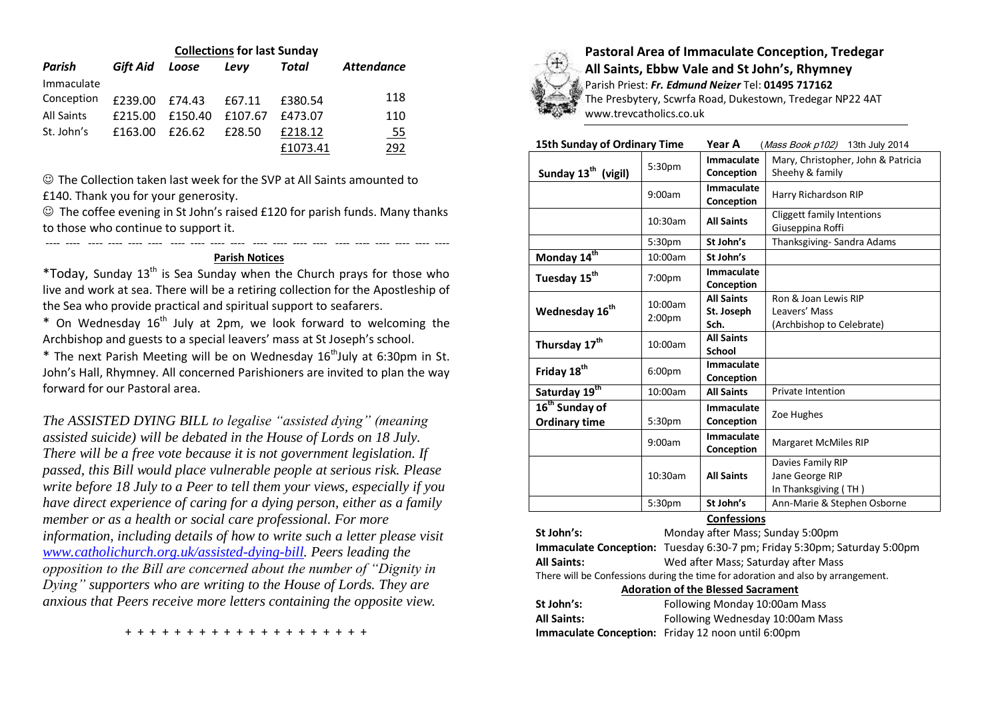| <b>Collections for last Sunday</b> |          |         |         |          |                   |  |  |
|------------------------------------|----------|---------|---------|----------|-------------------|--|--|
| Parish                             | Gift Aid | Loose   | Levy    | Total    | <b>Attendance</b> |  |  |
| Immaculate                         |          |         |         |          |                   |  |  |
| Conception                         | £239.00  | £74.43  | £67.11  | £380.54  | 118               |  |  |
| <b>All Saints</b>                  | £215.00  | £150.40 | £107.67 | £473.07  | 110               |  |  |
| St. John's                         | £163.00  | £26.62  | £28.50  | £218.12  | <u>_55</u>        |  |  |
|                                    |          |         |         | £1073.41 | 292               |  |  |

 The Collection taken last week for the SVP at All Saints amounted to £140. Thank you for your generosity.

---- ---- ---- ---- ---- ---- ---- ---- ---- ---- ---- ---- ---- ---- ---- ---- ---- ---- ---- ----

 $\odot$  The coffee evening in St John's raised £120 for parish funds. Many thanks to those who continue to support it.

## **Parish Notices**

\*Today, Sunday  $13<sup>th</sup>$  is Sea Sunday when the Church prays for those who live and work at sea. There will be a retiring collection for the Apostleship of the Sea who provide practical and spiritual support to seafarers.

\* On Wednesday  $16<sup>th</sup>$  July at 2pm, we look forward to welcoming the Archbishop and guests to a special leavers' mass at St Joseph's school.

 $*$  The next Parish Meeting will be on Wednesday 16<sup>th</sup>July at 6:30pm in St. John's Hall, Rhymney. All concerned Parishioners are invited to plan the way forward for our Pastoral area.

*The ASSISTED DYING BILL to legalise "assisted dying" (meaning assisted suicide) will be debated in the House of Lords on 18 July. There will be a free vote because it is not government legislation. If passed, this Bill would place vulnerable people at serious risk. Please write before 18 July to a Peer to tell them your views, especially if you have direct experience of caring for a dying person, either as a family member or as a health or social care professional. For more information, including details of how to write such a letter please visit [www.catholichurch.org.uk/assisted-dying-bill.](http://www.catholichurch.org.uk/assisted-dying-bill) Peers leading the opposition to the Bill are concerned about the number of "Dignity in Dying" supporters who are writing to the House of Lords. They are anxious that Peers receive more letters containing the opposite view.*



**Pastoral Area of Immaculate Conception, Tredegar All Saints, Ebbw Vale and St John's, Rhymney** Parish Priest: *Fr. Edmund Neizer* Tel: **01495 717162** The Presbytery, Scwrfa Road, Dukestown, Tredegar NP22 4AT www.trevcatholics.co.uk

| <b>15th Sunday of Ordinary Time</b>                |                               | Year A<br>(Mass Book p102) 13th July 2014 |                                                                    |  |
|----------------------------------------------------|-------------------------------|-------------------------------------------|--------------------------------------------------------------------|--|
| Sunday 13 <sup>th</sup> (vigil)                    | 5:30 <sub>pm</sub>            | Immaculate<br>Conception                  | Mary, Christopher, John & Patricia<br>Sheehy & family              |  |
|                                                    | 9:00am                        | Immaculate<br>Conception                  | Harry Richardson RIP                                               |  |
|                                                    | 10:30am                       | <b>All Saints</b>                         | Cliggett family Intentions<br>Giuseppina Roffi                     |  |
|                                                    | 5:30 <sub>pm</sub>            | St John's                                 | Thanksgiving-Sandra Adams                                          |  |
| Monday $14^{\overline{th}}$                        | 10:00am                       | St John's                                 |                                                                    |  |
| Tuesday 15 <sup>th</sup>                           | 7:00pm                        | Immaculate<br>Conception                  |                                                                    |  |
| Wednesday 16 <sup>th</sup>                         | 10:00am<br>2:00 <sub>pm</sub> | <b>All Saints</b><br>St. Joseph<br>Sch.   | Ron & Joan Lewis RIP<br>Leavers' Mass<br>(Archbishop to Celebrate) |  |
| Thursday 17 <sup>th</sup>                          | 10:00am                       | <b>All Saints</b><br>School               |                                                                    |  |
| Friday 18 <sup>th</sup>                            | 6:00 <sub>pm</sub>            | Immaculate<br>Conception                  |                                                                    |  |
| Saturday 19th                                      | 10:00am                       | <b>All Saints</b>                         | <b>Private Intention</b>                                           |  |
| 16 <sup>th</sup> Sunday of<br><b>Ordinary time</b> | 5:30pm                        | Immaculate<br>Conception                  | Zoe Hughes                                                         |  |
|                                                    | 9:00am                        | Immaculate<br>Conception                  | Margaret McMiles RIP                                               |  |
|                                                    | 10:30am                       | <b>All Saints</b>                         | Davies Family RIP<br>Jane George RIP<br>In Thanksgiving (TH)       |  |
|                                                    | 5:30pm                        | St John's                                 | Ann-Marie & Stephen Osborne                                        |  |

# **Confessions**

| St John's:                                                                       | Monday after Mass; Sunday 5:00pm                                         |  |  |  |
|----------------------------------------------------------------------------------|--------------------------------------------------------------------------|--|--|--|
|                                                                                  | Immaculate Conception: Tuesday 6:30-7 pm; Friday 5:30pm; Saturday 5:00pm |  |  |  |
| <b>All Saints:</b>                                                               | Wed after Mass; Saturday after Mass                                      |  |  |  |
| There will be Confessions during the time for adoration and also by arrangement. |                                                                          |  |  |  |
| <b>Adoration of the Blessed Sacrament</b>                                        |                                                                          |  |  |  |
| St John's:                                                                       | Following Monday 10:00am Mass                                            |  |  |  |
| <b>All Saints:</b>                                                               | Following Wednesday 10:00am Mass                                         |  |  |  |

**Immaculate Conception:** Friday 12 noon until 6:00pm